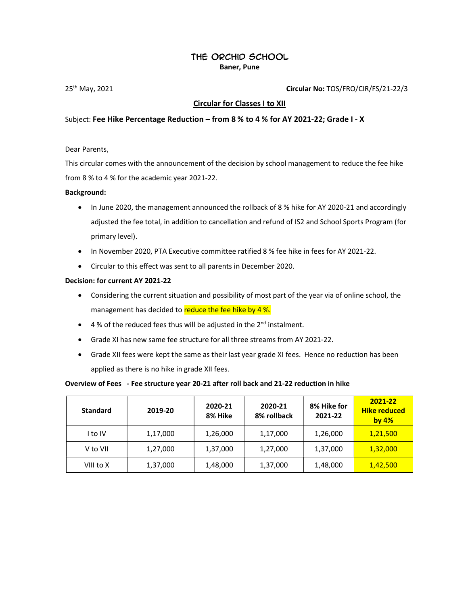# The Orchid School

Baner, Pune

25th May, 2021 Circular No: TOS/FRO/CIR/FS/21-22/3

# Circular for Classes I to XII

### Subject: Fee Hike Percentage Reduction – from 8 % to 4 % for AY 2021-22; Grade I - X

Dear Parents,

This circular comes with the announcement of the decision by school management to reduce the fee hike from 8 % to 4 % for the academic year 2021-22.

#### Background:

- In June 2020, the management announced the rollback of 8 % hike for AY 2020-21 and accordingly adjusted the fee total, in addition to cancellation and refund of IS2 and School Sports Program (for primary level).
- In November 2020, PTA Executive committee ratified 8 % fee hike in fees for AY 2021-22.
- Circular to this effect was sent to all parents in December 2020.

#### Decision: for current AY 2021-22

- Considering the current situation and possibility of most part of the year via of online school, the management has decided to reduce the fee hike by 4 %.
- $\bullet$  4% of the reduced fees thus will be adjusted in the 2<sup>nd</sup> instalment.
- Grade XI has new same fee structure for all three streams from AY 2021-22.
- Grade XII fees were kept the same as their last year grade XI fees. Hence no reduction has been applied as there is no hike in grade XII fees.

#### Overview of Fees - Fee structure year 20-21 after roll back and 21-22 reduction in hike

| <b>Standard</b> | 2019-20  | 2020-21<br>8% Hike | 2020-21<br>8% rollback | 8% Hike for<br>2021-22 | 2021-22<br><b>Hike reduced</b><br>by $4%$ |
|-----------------|----------|--------------------|------------------------|------------------------|-------------------------------------------|
| I to IV         | 1,17,000 | 1,26,000           | 1,17,000               | 1,26,000               | 1,21,500                                  |
| V to VII        | 1,27,000 | 1,37,000           | 1,27,000               | 1,37,000               | 1,32,000                                  |
| VIII to X       | 1,37,000 | 1,48,000           | 1,37,000               | 1,48,000               | 1,42,500                                  |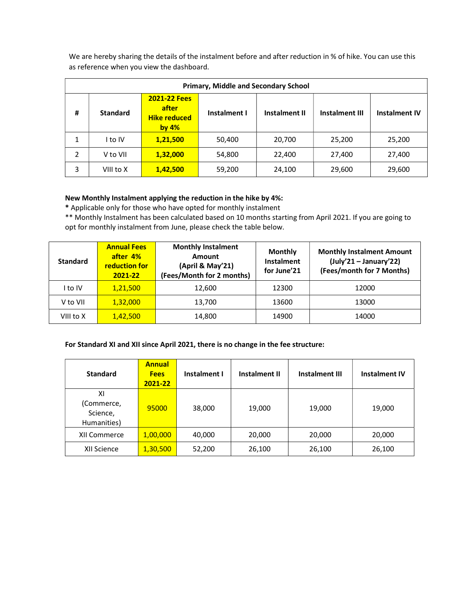We are hereby sharing the details of the instalment before and after reduction in % of hike. You can use this as reference when you view the dashboard.

| <b>Primary, Middle and Secondary School</b> |                 |                                                                |              |                      |                       |                      |
|---------------------------------------------|-----------------|----------------------------------------------------------------|--------------|----------------------|-----------------------|----------------------|
| #                                           | <b>Standard</b> | <b>2021-22 Fees</b><br>after<br><b>Hike reduced</b><br>by $4%$ | Instalment I | <b>Instalment II</b> | <b>Instalment III</b> | <b>Instalment IV</b> |
| 1                                           | I to IV         | 1,21,500                                                       | 50,400       | 20,700               | 25,200                | 25,200               |
| $\mathcal{P}$                               | V to VII        | 1,32,000                                                       | 54,800       | 22,400               | 27,400                | 27,400               |
| 3                                           | VIII to X       | 1,42,500                                                       | 59,200       | 24,100               | 29,600                | 29,600               |

# New Monthly Instalment applying the reduction in the hike by 4%:

\* Applicable only for those who have opted for monthly instalment

\*\* Monthly Instalment has been calculated based on 10 months starting from April 2021. If you are going to opt for monthly instalment from June, please check the table below.

| <b>Standard</b> | <b>Annual Fees</b><br>after 4%<br><b>reduction for</b><br>2021-22 | <b>Monthly Instalment</b><br>Amount<br>(April & May'21)<br>(Fees/Month for 2 months) | Monthly<br>Instalment<br>for June'21 | <b>Monthly Instalment Amount</b><br>$(July'21 - January'22)$<br>(Fees/month for 7 Months) |
|-----------------|-------------------------------------------------------------------|--------------------------------------------------------------------------------------|--------------------------------------|-------------------------------------------------------------------------------------------|
| l to IV         | 1,21,500                                                          | 12,600                                                                               | 12300                                | 12000                                                                                     |
| V to VII        | 1,32,000                                                          | 13,700                                                                               | 13600                                | 13000                                                                                     |
| VIII to X       | 1,42,500                                                          | 14,800                                                                               | 14900                                | 14000                                                                                     |

# For Standard XI and XII since April 2021, there is no change in the fee structure:

| <b>Standard</b>                             | <b>Annual</b><br><b>Fees</b><br>2021-22 | Instalment I | <b>Instalment II</b> | <b>Instalment III</b> | <b>Instalment IV</b> |
|---------------------------------------------|-----------------------------------------|--------------|----------------------|-----------------------|----------------------|
| ΧI<br>(Commerce,<br>Science,<br>Humanities) | 95000                                   | 38,000       | 19,000               | 19,000                | 19,000               |
| XII Commerce                                | 1,00,000                                | 40,000       | 20,000               | 20,000                | 20,000               |
| XII Science                                 | 1,30,500                                | 52,200       | 26,100               | 26,100                | 26,100               |